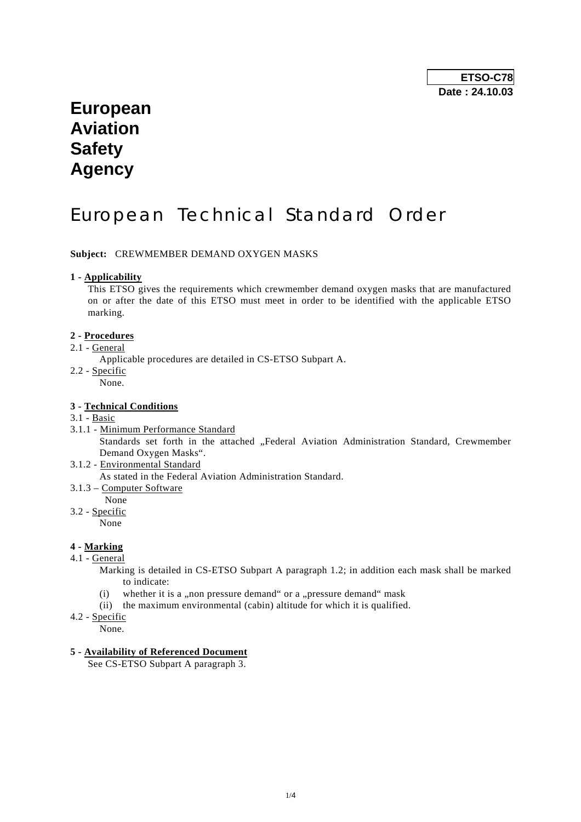## **European Aviation Safety Agency**

# European Technical Standard Order

**Subject:** CREWMEMBER DEMAND OXYGEN MASKS

### **1 - Applicability**

 This ETSO gives the requirements which crewmember demand oxygen masks that are manufactured on or after the date of this ETSO must meet in order to be identified with the applicable ETSO marking.

### **2 - Procedures**

- 2.1 General
	- Applicable procedures are detailed in CS-ETSO Subpart A.
- 2.2 Specific
	- None.

## **3 - Technical Conditions**

- 3.1 Basic
- 3.1.1 Minimum Performance Standard Standards set forth in the attached "Federal Aviation Administration Standard, Crewmember Demand Oxygen Masks".
- 3.1.2 Environmental Standard As stated in the Federal Aviation Administration Standard.
- 3.1.3 Computer Software
	- None

3.2 - Specific

None

## **4 - Marking**

4.1 - General

Marking is detailed in CS-ETSO Subpart A paragraph 1.2; in addition each mask shall be marked to indicate:

- (i) whether it is a ,,non pressure demand "or a ,,pressure demand" mask
- (ii) the maximum environmental (cabin) altitude for which it is qualified.
- 4.2 Specific
	- None.

## **5 - Availability of Referenced Document**

See CS-ETSO Subpart A paragraph 3.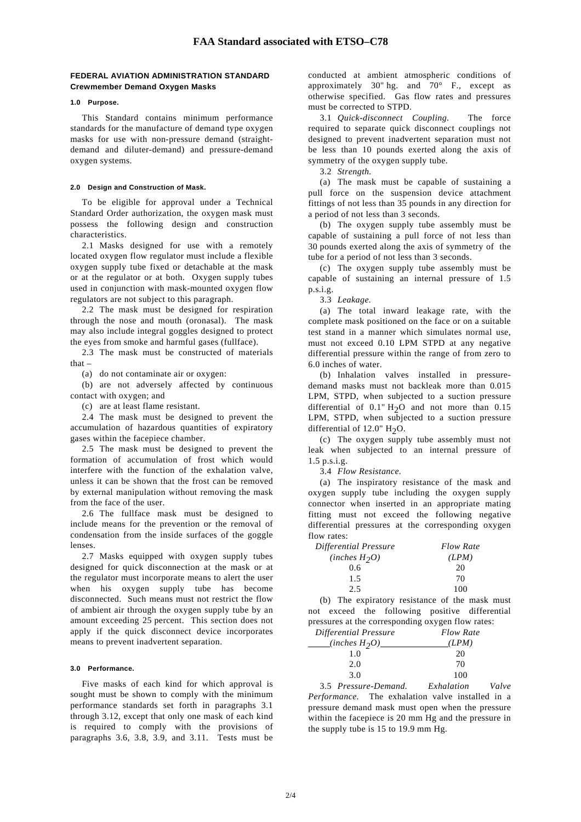## **FEDERAL AVIATION ADMINISTRATION STANDARD Crewmember Demand Oxygen Masks**

#### **1.0 Purpose.**

 This Standard contains minimum performance standards for the manufacture of demand type oxygen masks for use with non-pressure demand (straightdemand and diluter-demand) and pressure-demand oxygen systems.

#### **2.0 Design and Construction of Mask.**

 To be eligible for approval under a Technical Standard Order authorization, the oxygen mask must possess the following design and construction characteristics.

 2.1 Masks designed for use with a remotely located oxygen flow regulator must include a flexible oxygen supply tube fixed or detachable at the mask or at the regulator or at both. Oxygen supply tubes used in conjunction with mask-mounted oxygen flow regulators are not subject to this paragraph.

 2.2 The mask must be designed for respiration through the nose and mouth (oronasal). The mask may also include integral goggles designed to protect the eyes from smoke and harmful gases (fullface).

 2.3 The mask must be constructed of materials that –

(a) do not contaminate air or oxygen:

 (b) are not adversely affected by continuous contact with oxygen; and

(c) are at least flame resistant.

 2.4 The mask must be designed to prevent the accumulation of hazardous quantities of expiratory gases within the facepiece chamber.

 2.5 The mask must be designed to prevent the formation of accumulation of frost which would interfere with the function of the exhalation valve, unless it can be shown that the frost can be removed by external manipulation without removing the mask from the face of the user.

 2.6 The fullface mask must be designed to include means for the prevention or the removal of condensation from the inside surfaces of the goggle lenses.

 2.7 Masks equipped with oxygen supply tubes designed for quick disconnection at the mask or at the regulator must incorporate means to alert the user when his oxygen supply tube has become disconnected. Such means must not restrict the flow of ambient air through the oxygen supply tube by an amount exceeding 25 percent. This section does not apply if the quick disconnect device incorporates means to prevent inadvertent separation.

#### **3.0 Performance.**

 Five masks of each kind for which approval is sought must be shown to comply with the minimum performance standards set forth in paragraphs 3.1 through 3.12, except that only one mask of each kind is required to comply with the provisions of paragraphs 3.6, 3.8, 3.9, and 3.11. Tests must be conducted at ambient atmospheric conditions of approximately 30" hg. and  $70^{\circ}$  F., except as otherwise specified. Gas flow rates and pressures must be corrected to STPD.

 3.1 *Quick-disconnect Coupling.* The force required to separate quick disconnect couplings not designed to prevent inadvertent separation must not be less than 10 pounds exerted along the axis of symmetry of the oxygen supply tube.

3.2 *Strength.*

 (a) The mask must be capable of sustaining a pull force on the suspension device attachment fittings of not less than 35 pounds in any direction for a period of not less than 3 seconds.

 (b) The oxygen supply tube assembly must be capable of sustaining a pull force of not less than 30 pounds exerted along the axis of symmetry of the tube for a period of not less than 3 seconds.

 (c) The oxygen supply tube assembly must be capable of sustaining an internal pressure of 1.5 p.s.i.g.

3.3 *Leakage.*

 (a) The total inward leakage rate, with the complete mask positioned on the face or on a suitable test stand in a manner which simulates normal use, must not exceed 0.10 LPM STPD at any negative differential pressure within the range of from zero to 6.0 inches of water.

 (b) Inhalation valves installed in pressuredemand masks must not backleak more than 0.015 LPM, STPD, when subjected to a suction pressure differential of  $0.1$ " H<sub>2</sub>O and not more than  $0.15$ LPM, STPD, when subjected to a suction pressure differential of 12.0"  $H_2O$ .

 (c) The oxygen supply tube assembly must not leak when subjected to an internal pressure of 1.5 p.s.i.g.

3.4 *Flow Resistance.*

 (a) The inspiratory resistance of the mask and oxygen supply tube including the oxygen supply connector when inserted in an appropriate mating fitting must not exceed the following negative differential pressures at the corresponding oxygen flow rates:

| Differential Pressure | <b>Flow Rate</b> |
|-----------------------|------------------|
| (inches $H_2O$ )      | (LPM)            |
| 0.6                   | 20               |
| 1.5                   | 70               |
| 2.5                   | 100              |

 (b) The expiratory resistance of the mask must not exceed the following positive differential pressures at the corresponding oxygen flow rates:

| Differential Pressure |  | <b>Flow Rate</b> |
|-----------------------|--|------------------|
| (inches $H_2O$ )      |  | (LPM)            |
| 1.0                   |  | 20               |
| 2.0                   |  | 70               |
| 3.0                   |  | 100              |
| $\sim$ $\sim$         |  | $\cdots$         |

 3.5 *Pressure-Demand. Exhalation Valve Performance.* The exhalation valve installed in a pressure demand mask must open when the pressure within the facepiece is 20 mm Hg and the pressure in the supply tube is 15 to 19.9 mm Hg.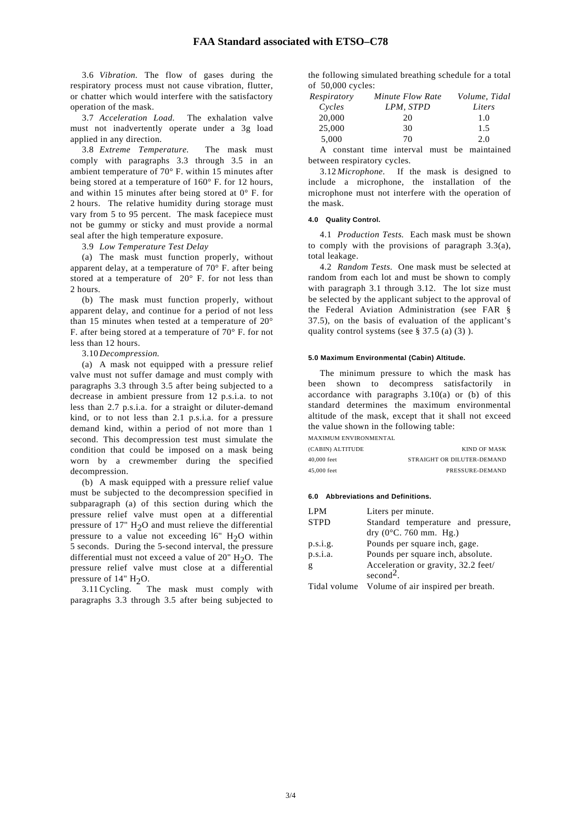3.6 *Vibration.* The flow of gases during the respiratory process must not cause vibration, flutter, or chatter which would interfere with the satisfactory operation of the mask.

 3.7 *Acceleration Load.* The exhalation valve must not inadvertently operate under a 3g load applied in any direction.

 3.8 *Extreme Temperature.* The mask must comply with paragraphs 3.3 through 3.5 in an ambient temperature of 70° F. within 15 minutes after being stored at a temperature of 160° F. for 12 hours, and within 15 minutes after being stored at 0° F. for 2 hours. The relative humidity during storage must vary from 5 to 95 percent. The mask facepiece must not be gummy or sticky and must provide a normal seal after the high temperature exposure.

3.9 *Low Temperature Test Delay*

 (a) The mask must function properly, without apparent delay, at a temperature of 70° F. after being stored at a temperature of 20° F. for not less than 2 hours.

 (b) The mask must function properly, without apparent delay, and continue for a period of not less than 15 minutes when tested at a temperature of 20° F. after being stored at a temperature of 70° F. for not less than 12 hours.

3.10 *Decompression.*

 (a) A mask not equipped with a pressure relief valve must not suffer damage and must comply with paragraphs 3.3 through 3.5 after being subjected to a decrease in ambient pressure from 12 p.s.i.a. to not less than 2.7 p.s.i.a. for a straight or diluter-demand kind, or to not less than 2.1 p.s.i.a. for a pressure demand kind, within a period of not more than 1 second. This decompression test must simulate the condition that could be imposed on a mask being worn by a crewmember during the specified decompression.

 (b) A mask equipped with a pressure relief value must be subjected to the decompression specified in subparagraph (a) of this section during which the pressure relief valve must open at a differential pressure of 17"  $H<sub>2</sub>O$  and must relieve the differential pressure to a value not exceeding  $16" H<sub>2</sub>O$  within 5 seconds. During the 5-second interval, the pressure differential must not exceed a value of  $20"$  H<sub>2</sub>O. The pressure relief valve must close at a differential pressure of  $14"$  H<sub>2</sub>O.

 3.11 Cycling. The mask must comply with paragraphs 3.3 through 3.5 after being subjected to the following simulated breathing schedule for a total of 50,000 cycles:

| Respiratory | Minute Flow Rate                                 | Volume, Tidal |
|-------------|--------------------------------------------------|---------------|
| Cycles      | LPM, STPD                                        | Liters        |
| 20,000      | 20                                               | 1.0           |
| 25,000      | 30                                               | 1.5           |
| 5,000       | 70                                               | 2.0           |
|             | $\lambda$ , and the state of the state $\lambda$ |               |

 A constant time interval must be maintained between respiratory cycles.

 3.12 *Microphone.* If the mask is designed to include a microphone, the installation of the microphone must not interfere with the operation of the mask.

#### **4.0 Quality Control.**

 4.1 *Production Tests.* Each mask must be shown to comply with the provisions of paragraph 3.3(a), total leakage.

 4.2 *Random Tests.* One mask must be selected at random from each lot and must be shown to comply with paragraph 3.1 through 3.12. The lot size must be selected by the applicant subject to the approval of the Federal Aviation Administration (see FAR § 37.5), on the basis of evaluation of the applicant's quality control systems (see  $\S 37.5$  (a) (3)).

#### **5.0 Maximum Environmental (Cabin) Altitude.**

 The minimum pressure to which the mask has been shown to decompress satisfactorily in accordance with paragraphs  $3.10(a)$  or (b) of this standard determines the maximum environmental altitude of the mask, except that it shall not exceed the value shown in the following table:

MAXIMUM ENVIRONMENTAL

| (CABIN) ALTITUDE | KIND OF MASK               |
|------------------|----------------------------|
| 40,000 feet      | STRAIGHT OR DILUTER-DEMAND |
| 45,000 feet      | PRESSURE-DEMAND            |

#### **6.0 Abbreviations and Definitions.**

| LPM         | Liters per minute.                               |
|-------------|--------------------------------------------------|
| <b>STPD</b> | Standard temperature and pressure,               |
|             | $\text{dry } (0^{\circ}C, 760 \text{ mm}$ . Hg.) |
| p.s.i.g.    | Pounds per square inch, gage.                    |
| p.s.i.a.    | Pounds per square inch, absolute.                |
| g           | Acceleration or gravity, 32.2 feet/              |
|             | $second2$ .                                      |
|             | Tidal volume Volume of air inspired per breath.  |